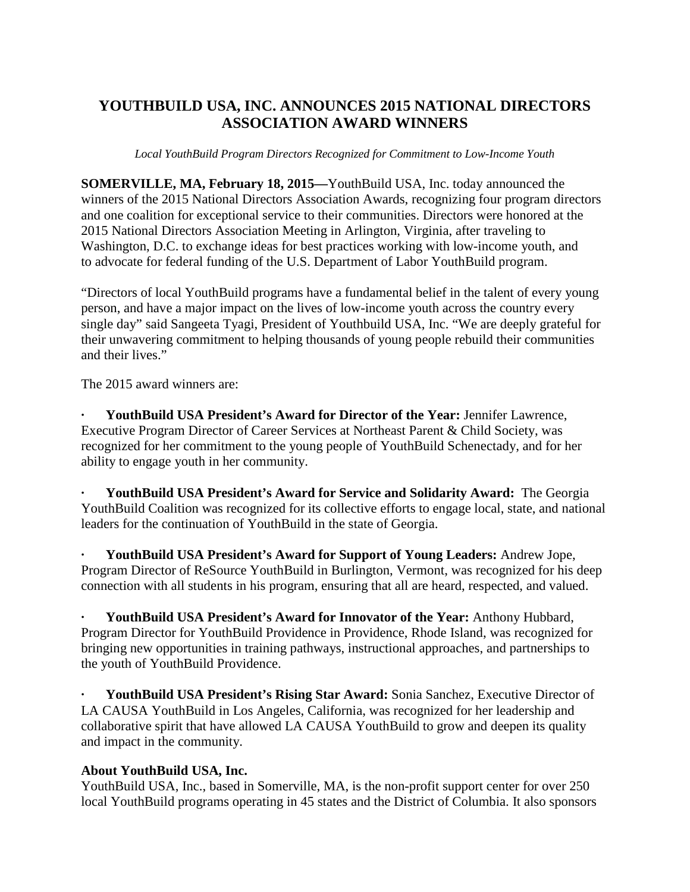## **YOUTHBUILD USA, INC. ANNOUNCES 2015 NATIONAL DIRECTORS ASSOCIATION AWARD WINNERS**

*Local YouthBuild Program Directors Recognized for Commitment to Low-Income Youth*

**SOMERVILLE, MA, February 18, 2015—**YouthBuild USA, Inc. today announced the winners of the 2015 National Directors Association Awards, recognizing four program directors and one coalition for exceptional service to their communities. Directors were honored at the 2015 National Directors Association Meeting in Arlington, Virginia, after traveling to Washington, D.C. to exchange ideas for best practices working with low-income youth, and to advocate for federal funding of the U.S. Department of Labor YouthBuild program.

"Directors of local YouthBuild programs have a fundamental belief in the talent of every young person, and have a major impact on the lives of low-income youth across the country every single day" said Sangeeta Tyagi, President of Youthbuild USA, Inc. "We are deeply grateful for their unwavering commitment to helping thousands of young people rebuild their communities and their lives."

The 2015 award winners are:

**· YouthBuild USA President's Award for Director of the Year:** Jennifer Lawrence, Executive Program Director of Career Services at Northeast Parent & Child Society, was recognized for her commitment to the young people of YouthBuild Schenectady, and for her ability to engage youth in her community.

**· YouthBuild USA President's Award for Service and Solidarity Award:** The Georgia YouthBuild Coalition was recognized for its collective efforts to engage local, state, and national leaders for the continuation of YouthBuild in the state of Georgia.

**· YouthBuild USA President's Award for Support of Young Leaders:** Andrew Jope, Program Director of ReSource YouthBuild in Burlington, Vermont, was recognized for his deep connection with all students in his program, ensuring that all are heard, respected, and valued.

**· YouthBuild USA President's Award for Innovator of the Year:** Anthony Hubbard, Program Director for YouthBuild Providence in Providence, Rhode Island, was recognized for bringing new opportunities in training pathways, instructional approaches, and partnerships to the youth of YouthBuild Providence.

**· YouthBuild USA President's Rising Star Award:** Sonia Sanchez, Executive Director of LA CAUSA YouthBuild in Los Angeles, California, was recognized for her leadership and collaborative spirit that have allowed LA CAUSA YouthBuild to grow and deepen its quality and impact in the community.

## **About YouthBuild USA, Inc.**

YouthBuild USA, Inc., based in Somerville, MA, is the non-profit support center for over 250 local YouthBuild programs operating in 45 states and the District of Columbia. It also sponsors